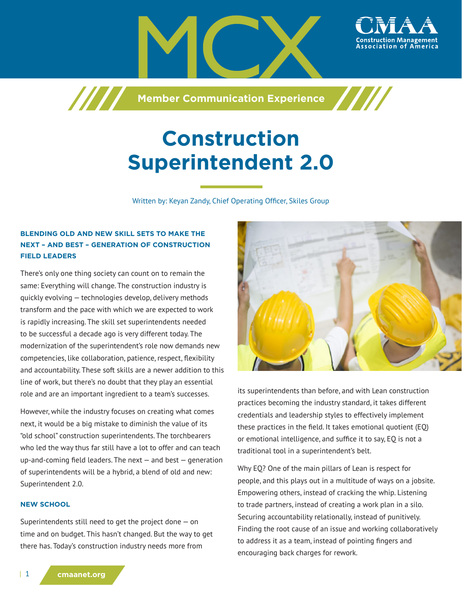

**Construction Superintendent 2.0**

**Member Communication Experience**

Written by: Keyan Zandy, Chief Operating Officer, Skiles Group

# **BLENDING OLD AND NEW SKILL SETS TO MAKE THE NEXT – AND BEST – GENERATION OF CONSTRUCTION FIELD LEADERS**

777

There's only one thing society can count on to remain the same: Everything will change. The construction industry is quickly evolving — technologies develop, delivery methods transform and the pace with which we are expected to work is rapidly increasing. The skill set superintendents needed to be successful a decade ago is very different today. The modernization of the superintendent's role now demands new competencies, like collaboration, patience, respect, flexibility and accountability. These soft skills are a newer addition to this line of work, but there's no doubt that they play an essential role and are an important ingredient to a team's successes.

However, while the industry focuses on creating what comes next, it would be a big mistake to diminish the value of its "old school" construction superintendents. The torchbearers who led the way thus far still have a lot to offer and can teach up-and-coming field leaders. The next — and best — generation of superintendents will be a hybrid, a blend of old and new: Superintendent 2.0.

### **NEW SCHOOL**

Superintendents still need to get the project done — on time and on budget. This hasn't changed. But the way to get there has. Today's construction industry needs more from



its superintendents than before, and with Lean construction practices becoming the industry standard, it takes different credentials and leadership styles to effectively implement these practices in the field. It takes emotional quotient (EQ) or emotional intelligence, and suffice it to say, EQ is not a traditional tool in a superintendent's belt.

Why EQ? One of the main pillars of Lean is respect for people, and this plays out in a multitude of ways on a jobsite. Empowering others, instead of cracking the whip. Listening to trade partners, instead of creating a work plan in a silo. Securing accountability relationally, instead of punitively. Finding the root cause of an issue and working collaboratively to address it as a team, instead of pointing fingers and encouraging back charges for rework.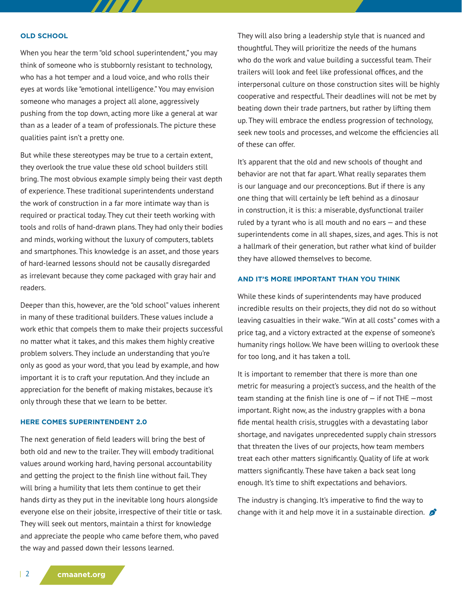#### **OLD SCHOOL**

When you hear the term "old school superintendent," you may think of someone who is stubbornly resistant to technology, who has a hot temper and a loud voice, and who rolls their eyes at words like "emotional intelligence." You may envision someone who manages a project all alone, aggressively pushing from the top down, acting more like a general at war than as a leader of a team of professionals. The picture these qualities paint isn't a pretty one.

77 T T

But while these stereotypes may be true to a certain extent, they overlook the true value these old school builders still bring. The most obvious example simply being their vast depth of experience. These traditional superintendents understand the work of construction in a far more intimate way than is required or practical today. They cut their teeth working with tools and rolls of hand-drawn plans. They had only their bodies and minds, working without the luxury of computers, tablets and smartphones. This knowledge is an asset, and those years of hard-learned lessons should not be causally disregarded as irrelevant because they come packaged with gray hair and readers.

Deeper than this, however, are the "old school" values inherent in many of these traditional builders. These values include a work ethic that compels them to make their projects successful no matter what it takes, and this makes them highly creative problem solvers. They include an understanding that you're only as good as your word, that you lead by example, and how important it is to craft your reputation. And they include an appreciation for the benefit of making mistakes, because it's only through these that we learn to be better.

### **HERE COMES SUPERINTENDENT 2.0**

The next generation of field leaders will bring the best of both old and new to the trailer. They will embody traditional values around working hard, having personal accountability and getting the project to the finish line without fail. They will bring a humility that lets them continue to get their hands dirty as they put in the inevitable long hours alongside everyone else on their jobsite, irrespective of their title or task. They will seek out mentors, maintain a thirst for knowledge and appreciate the people who came before them, who paved the way and passed down their lessons learned.

They will also bring a leadership style that is nuanced and thoughtful. They will prioritize the needs of the humans who do the work and value building a successful team. Their trailers will look and feel like professional offices, and the interpersonal culture on those construction sites will be highly cooperative and respectful. Their deadlines will not be met by beating down their trade partners, but rather by lifting them up. They will embrace the endless progression of technology, seek new tools and processes, and welcome the efficiencies all of these can offer.

It's apparent that the old and new schools of thought and behavior are not that far apart. What really separates them is our language and our preconceptions. But if there is any one thing that will certainly be left behind as a dinosaur in construction, it is this: a miserable, dysfunctional trailer ruled by a tyrant who is all mouth and no ears  $-$  and these superintendents come in all shapes, sizes, and ages. This is not a hallmark of their generation, but rather what kind of builder they have allowed themselves to become.

### **AND IT'S MORE IMPORTANT THAN YOU THINK**

While these kinds of superintendents may have produced incredible results on their projects, they did not do so without leaving casualties in their wake. "Win at all costs" comes with a price tag, and a victory extracted at the expense of someone's humanity rings hollow. We have been willing to overlook these for too long, and it has taken a toll.

It is important to remember that there is more than one metric for measuring a project's success, and the health of the team standing at the finish line is one of  $-$  if not THE  $-$ most important. Right now, as the industry grapples with a bona fide mental health crisis, struggles with a devastating labor shortage, and navigates unprecedented supply chain stressors that threaten the lives of our projects, how team members treat each other matters significantly. Quality of life at work matters significantly. These have taken a back seat long enough. It's time to shift expectations and behaviors.

The industry is changing. It's imperative to find the way to change with it and help move it in a sustainable direction.  $\mathcal{L}$